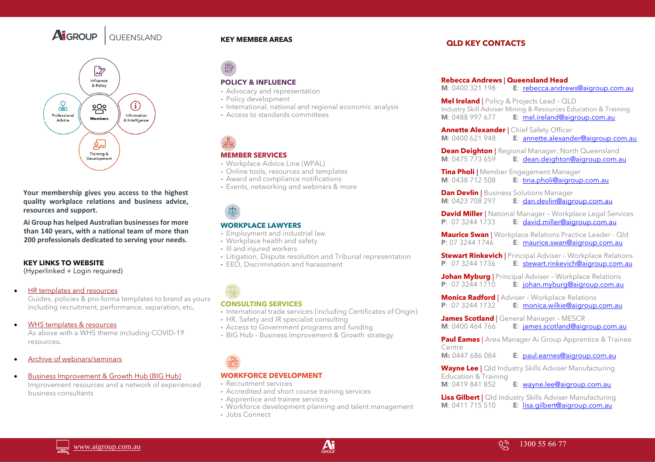# AIGROUP | QUEENSLAND



**Your membership gives you access to the highest quality workplace relations and business advice, resources and support.** 

**Ai Group has helped Australian businesses for more than 140 years, with a national team of more than 200 professionals dedicated to serving your needs.**

## **KEY LINKS TO WEBSITE**

(Hyperlinked + Login required)

## • [HR templates and resources](https://www.aigroup.com.au/resourcecentre/hr/templates-resources/)

Guides, policies & pro-forma templates to brand as yours including recruitment, performance, separation, etc.

• [WHS templates & resources](https://www.aigroup.com.au/resourcecentre/safety/templates-resources/templates/working-from-home-self-assessment-checklist/) As above with a WHS theme including COVID-19 resources.

# • [Archive of webinars/seminars](https://www.aigroup.com.au/member-services/toolsandresources/online-events/library/)

• [Business Improvement & Growth Hub \(BIG Hub\)](https://www.aigroup.com.au/resourcecentre/big/) Improvement resources and a network of experienced business consultants

## **KEY MEMBER AREAS**

# **POLICY & INFLUENCE**

- **-** Advocacy and representation
- **-** Policy development
- **-** International, national and regional economic analysis
- **-** Access to standards committees

- **MEMBER SERVICES**
- **-** Workplace Advice Line (WPAL)
- **-** Online tools, resources and templates
- **-** Award and compliance notifications
- **-** Events, networking and webinars & more

# **WORKPLACE LAWYERS**

- **-** Employment and industrial law
- **-** Workplace health and safety
- **-** Ill and injured workers
- **-** Litigation, Dispute resolution and Tribunal representation
- **-** EEO, Discrimination and harassment

# **CONSULTING SERVICES**

- **-** International trade services (including Certificates of Origin)
- **-** HR, Safety and IR specialist consulting
- **-** Access to Government programs and funding
- **-** BIG Hub Business Improvement & Growth strategy

# **WORKFORCE DEVELOPMENT**

- **-** Recruitment services
- **-** Accredited and short course training services
- **-** Apprentice and trainee services
- **-** Workforce development planning and talent management
- **-** Jobs Connect

# **QLD KEY CONTACTS**

### **Rebecca Andrews** | **Queensland Head**

**M**: 0400 321 198 **E**: [rebecca.andrews@aigroup.com.au](mailto:rebecca.andrews@aigroup.com.au)

 $\overline{a}$ 

**Mel Ireland** | Policy & Projects Lead – QLD Industry Skill Adviser Mining & Resources Education & Training<br>**M**: 0488 997 677 **E**: mel.ireland@aigroup.com.au **M**: 0488 997 677 **E**: [mel.ireland@aigroup.com.au](mailto:mel.ireland@aigroup.com.au)

**Annette Alexander** | Chief Safety Officer **M**: 0400 621 948 **E**: [annette.alexander@aigroup.com.au](mailto:annette.alexander@aigroup.com.au)

**Dean Deighton** | Regional Manager, North Queensland<br>M: 0475 773 659 F: dean deighton@aigroup.com **M**: 0475 773 659 **E**: [dean.deighton@aigroup.com.au](mailto:dean.deighton@aigroup.com.au)

**Tina Pholi** | Member Engagement Manager<br>M: 0438 712 508 **E**: tina pholi@aigrour **E**: [tina.pholi@aigroup.com.au](mailto:rebecca.andrews@aigroup.com.au)

**Dan Devlin** | Business Solutions Manager **M**: 0423 708 297 **E**: [dan.devlin@aigroup.com.au](mailto:dan.devlin@aigroup.com.au)

**David Miller** | National Manager - Workplace Legal Services **P**:07 3244 1733 **E**: [david.miller@aigroup.com.au](mailto:david.miller@aigroup.com.au)

**Maurice Swan** | Workplace Relations Practice Leader - Qld **P**: 07 3244 1746 **E**: [maurice.swan@aigroup.com.au](mailto:maurice.swan@aigroup.com.au)

**Stewart Rinkevich | Principal Adviser - Workplace Relations P**: 07 3244 1736 **E**: [stewart.rinkevich@aigroup.com.au](mailto:stewart.rinkevich@aigroup.com.au)

**Johan Myburg** | Principal Adviser - Workplace Relations **P**:07 3244 1710 **E**: [johan.myburg@aigroup.com.au](mailto:johan.myburg@aigroup.com.au)

**Monica Radford** | Adviser – Workplace Relations **E**: [monica.wilkie@aigroup.com.au](mailto:monica.wilkie@aigroup.com.au)

**James Scotland** | General Manager – MESCR **E**: [james.scotland@aigroup.com.au](mailto:james.scotland@aigroup.com.au)

**Paul Eames** | Area Manager Ai Group Apprentice & Trainee Centre

**M:** 0447 686 084 **E**: [paul.earnes@aigroup.com.au](mailto:paul.earnes@aigroup.com.au)

**Wayne Lee** | Qld Industry Skills Adviser Manufacturing Education & Training

**M**: 0419 841 852 **E**: [wayne.lee@aigroup.com.au](mailto:wayne.lee@aigroup.com.au)

**Lisa Gilbert** | Qld Industry Skills Adviser Manufacturing **M**: 0411 715 510 **E**: [lisa.gilbert@aigroup.com.au](mailto:lisa.gilbert@aigroup.com.au)